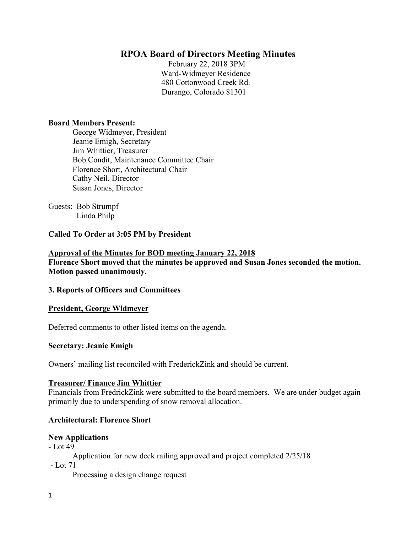# **RPOA Board of Directors Meeting Minutes**

February 22, 2018 3PM Ward-Widmeyer Residence 480 Cottonwood Creek Rd. Durango, Colorado 81301

### **Board Members Present:**

George Widmeyer, President Jeanie Emigh, Secretary Jim Whittier, Treasurer Bob Condit, Maintenance Committee Chair Florence Short, Architectural Chair Cathy Neil, Director Susan Jones, Director

Guests: Bob Strumpf Linda Philp

## **Called To Order at 3:05 PM by President**

## **Approval of the Minutes for BOD meeting January 22, 2018 Florence Short moved that the minutes be approved and Susan Jones seconded the motion. Motion passed unanimously.**

## **3. Reports of Officers and Committees**

#### **President, George Widmeyer**

Deferred comments to other listed items on the agenda.

## **Secretary: Jeanie Emigh**

Owners' mailing list reconciled with FrederickZink and should be current.

#### **Treasurer/ Finance Jim Whittier**

Financials from FredrickZink were submitted to the board members. We are under budget again primarily due to underspending of snow removal allocation.

## **Architectural: Florence Short**

#### **New Applications**

- Lot 49

- Application for new deck railing approved and project completed 2/25/18
- Lot 71

Processing a design change request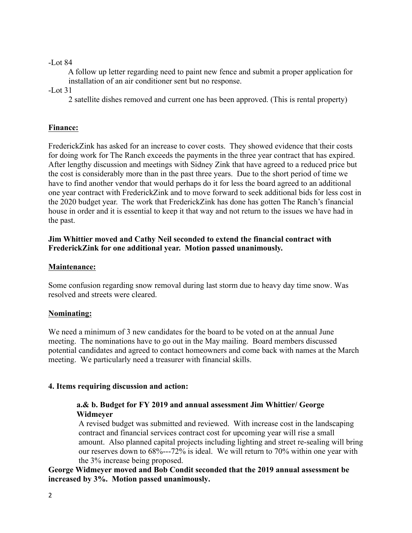## -Lot 84

 A follow up letter regarding need to paint new fence and submit a proper application for installation of an air conditioner sent but no response.

-Lot 31

2 satellite dishes removed and current one has been approved. (This is rental property)

# **Finance:**

FrederickZink has asked for an increase to cover costs. They showed evidence that their costs for doing work for The Ranch exceeds the payments in the three year contract that has expired. After lengthy discussion and meetings with Sidney Zink that have agreed to a reduced price but the cost is considerably more than in the past three years. Due to the short period of time we have to find another vendor that would perhaps do it for less the board agreed to an additional one year contract with FrederickZink and to move forward to seek additional bids for less cost in the 2020 budget year. The work that FrederickZink has done has gotten The Ranch's financial house in order and it is essential to keep it that way and not return to the issues we have had in the past.

# **Jim Whittier moved and Cathy Neil seconded to extend the financial contract with FrederickZink for one additional year. Motion passed unanimously.**

# **Maintenance:**

Some confusion regarding snow removal during last storm due to heavy day time snow. Was resolved and streets were cleared.

# **Nominating:**

We need a minimum of 3 new candidates for the board to be voted on at the annual June meeting. The nominations have to go out in the May mailing. Board members discussed potential candidates and agreed to contact homeowners and come back with names at the March meeting. We particularly need a treasurer with financial skills.

# **4. Items requiring discussion and action:**

# **a.& b. Budget for FY 2019 and annual assessment Jim Whittier/ George Widmeyer**

A revised budget was submitted and reviewed. With increase cost in the landscaping contract and financial services contract cost for upcoming year will rise a small amount. Also planned capital projects including lighting and street re-sealing will bring our reserves down to 68%---72% is ideal. We will return to 70% within one year with the 3% increase being proposed.

**George Widmeyer moved and Bob Condit seconded that the 2019 annual assessment be increased by 3%. Motion passed unanimously.**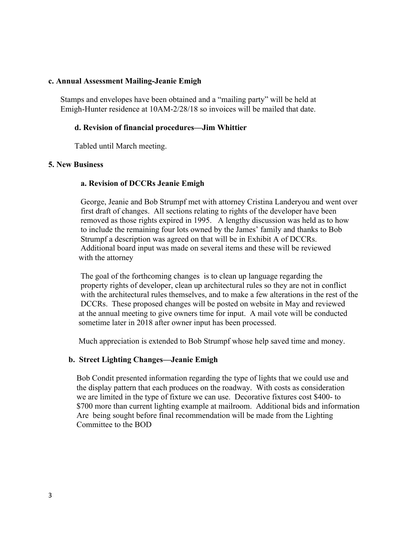### **c. Annual Assessment Mailing-Jeanie Emigh**

Stamps and envelopes have been obtained and a "mailing party" will be held at Emigh-Hunter residence at 10AM-2/28/18 so invoices will be mailed that date.

## **d. Revision of financial procedures—Jim Whittier**

Tabled until March meeting.

## **5. New Business**

### **a. Revision of DCCRs Jeanie Emigh**

George, Jeanie and Bob Strumpf met with attorney Cristina Landeryou and went over first draft of changes. All sections relating to rights of the developer have been removed as those rights expired in 1995. A lengthy discussion was held as to how to include the remaining four lots owned by the James' family and thanks to Bob Strumpf a description was agreed on that will be in Exhibit A of DCCRs. Additional board input was made on several items and these will be reviewed with the attorney

 The goal of the forthcoming changes is to clean up language regarding the property rights of developer, clean up architectural rules so they are not in conflict with the architectural rules themselves, and to make a few alterations in the rest of the DCCRs. These proposed changes will be posted on website in May and reviewed at the annual meeting to give owners time for input. A mail vote will be conducted sometime later in 2018 after owner input has been processed.

Much appreciation is extended to Bob Strumpf whose help saved time and money.

## **b. Street Lighting Changes—Jeanie Emigh**

 Bob Condit presented information regarding the type of lights that we could use and the display pattern that each produces on the roadway. With costs as consideration we are limited in the type of fixture we can use. Decorative fixtures cost \$400- to \$700 more than current lighting example at mailroom. Additional bids and information Are being sought before final recommendation will be made from the Lighting Committee to the BOD